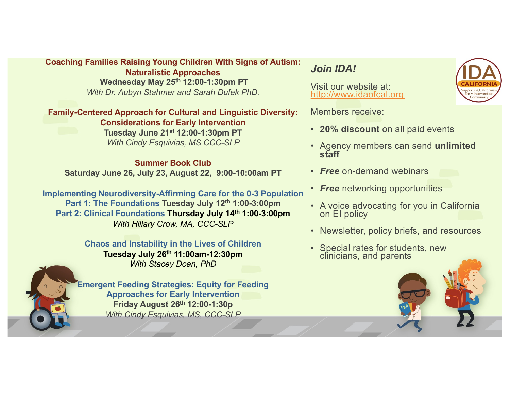#### **Coaching Families Raising Young Children With Signs of Autism:**

**Naturalistic Approaches Wednesday May 25th 12:00-1:30pm PT** *With Dr. Aubyn Stahmer and Sarah Dufek PhD.*

**Family-Centered Approach for Cultural and Linguistic Diversity: Considerations for Early Intervention** 

**Tuesday June 21st 12:00-1:30pm PT** *With Cindy Esquivias, MS CCC-SLP* 

#### **Summer Book Club Saturday June 26, July 23, August 22, 9:00-10:00am PT**

**Implementing Neurodiversity-Affirming Care for the 0-3 Population Part 1: The Foundations Tuesday July 12th 1:00-3:00pm Part 2: Clinical Foundations Thursday July 14th 1:00-3:00pm** *With Hillary Crow, MA, CCC-SLP*

#### **Chaos and Instability in the Lives of Children**

**Tuesday July 26th 11:00am-12:30pm** *With Stacey Doan, PhD* 



**Emergent Feeding Strategies: Equity for Feeding Approaches for Early Intervention Friday August 26th 12:00-1:30p** *With Cindy Esquivias, MS, CCC-SLP*

#### *Join IDA!*

Visit our website at: [http://www.idaofcal.or](http://www.idaofcal.org/)g

Members receive:

- **20% discount** on all paid events
- Agency members can send **unlimited staff**
- *Free* on-demand webinars
- *Free* networking opportunities
- A voice advocating for you in California on EI policy
- Newsletter, policy briefs, and resources
- Special rates for students, new clinicians, and parents

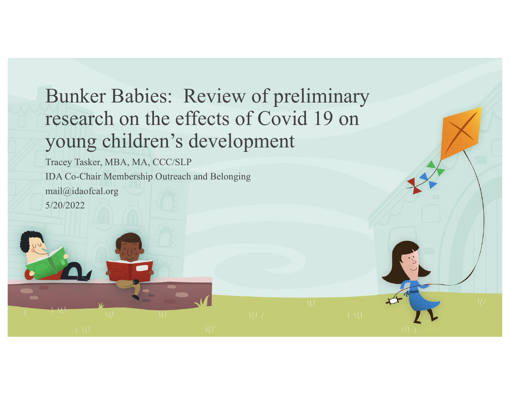# Bunker Babies: Review of preliminary research on the effects of Covid 19 on young children's development

Tracey Tasker, MBA, MA, CCC/SLP IDA Co-Chair Membership Outreach and Belonging mail@idaofcal.org 5/20/2022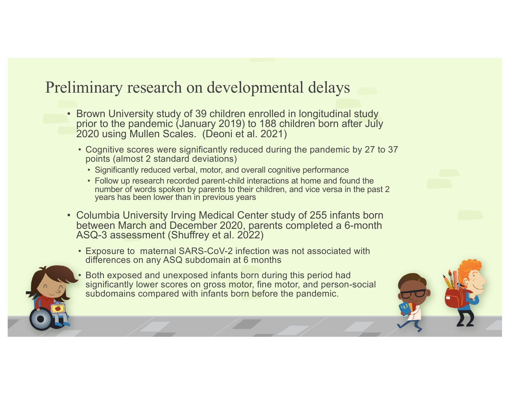# Preliminary research on developmental delays

- Brown University study of 39 children enrolled in longitudinal study prior to the pandemic (January 2019) to 188 children born after July 2020 using Mullen Scales. (Deoni et al. 2021)
	- Cognitive scores were significantly reduced during the pandemic by 27 to 37 points (almost 2 standard deviations)
		- Significantly reduced verbal, motor, and overall cognitive performance
		- Follow up research recorded parent-child interactions at home and found the number of words spoken by parents to their children, and vice versa in the past 2 years has been lower than in previous years
- Columbia University Irving Medical Center study of 255 infants born between March and December 2020, parents completed a 6-month ASQ-3 assessment (Shuffrey et al. 2022)
	- Exposure to maternal SARS-CoV-2 infection was not associated with differences on any ASQ subdomain at 6 months



• Both exposed and unexposed infants born during this period had significantly lower scores on gross motor, fine motor, and person-social subdomains compared with infants born before the pandemic.

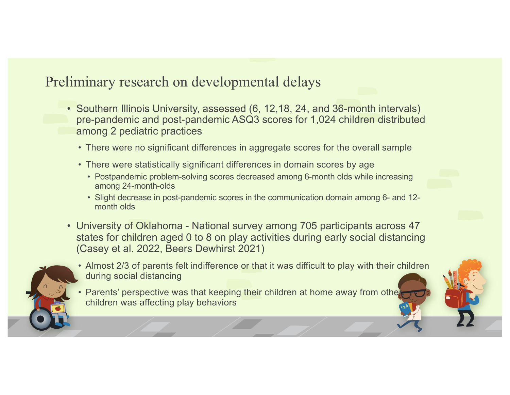## Preliminary research on developmental delays

- Southern Illinois University, assessed (6, 12,18, 24, and 36-month intervals) pre-pandemic and post-pandemic ASQ3 scores for 1,024 children distributed among 2 pediatric practices
	- There were no significant differences in aggregate scores for the overall sample
	- There were statistically significant differences in domain scores by age
		- Postpandemic problem-solving scores decreased among 6-month olds while increasing among 24-month-olds
		- Slight decrease in post-pandemic scores in the communication domain among 6- and 12 month olds
- University of Oklahoma National survey among 705 participants across 47 states for children aged 0 to 8 on play activities during early social distancing (Casey et al. 2022, Beers Dewhirst 2021)
- 
- Almost 2/3 of parents felt indifference or that it was difficult to play with their children during social distancing
	- Parents' perspective was that keeping their children at home away from othe children was affecting play behaviors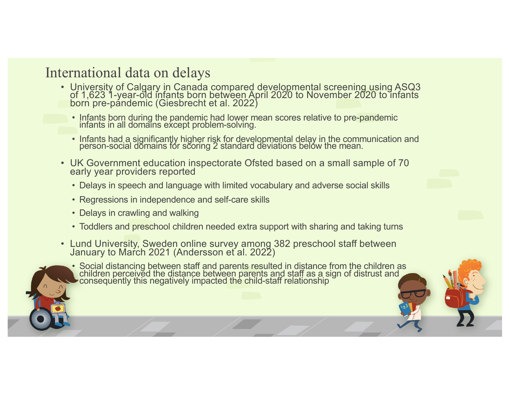#### International data on delays

- University of Calgary in Canada compared developmental screening using ASQ3 of 1,623 1-year-old infants born between April 2020 to November 2020 to infants born pre-pandemic (Giesbrecht et al. 2022)
	- Infants born during the pandemic had lower mean scores relative to pre-pandemic infants in all domains except problem-solving.
	- Infants had a significantly higher risk for developmental delay in the communication and person-social domains for scoring 2 standard deviations below the mean.
- UK Government education inspectorate Ofsted based on a small sample of 70 early year providers reported
	- Delays in speech and language with limited vocabulary and adverse social skills
	- Regressions in independence and self-care skills
	- Delays in crawling and walking
	- Toddlers and preschool children needed extra support with sharing and taking turns
- Lund University, Sweden online survey among 382 preschool staff between January to March 2021 (Andersson et al. 2022)



• Social distancing between staff and parents resulted in distance from the children as children perceived the distance between parents and staff as a sign of distrust and consequently this negatively impacted the child-staff relationship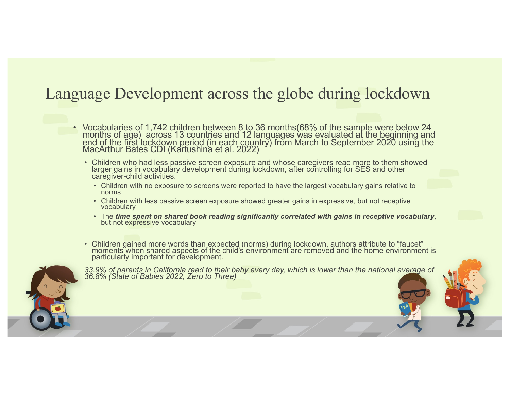## Language Development across the globe during lockdown

- Vocabularies of 1,742 children between 8 to 36 months(68% of the sample were below 24 months of age) across 13 countries and 12 languages was evaluated at the beginning and end of the first lockdown period (in each country) from March to September 2020 using the MacArthur Bates CDI (Kartushina et al. 2022)
	- Children who had less passive screen exposure and whose caregivers read more to them showed larger gains in vocabulary development during lockdown, after controlling for SES and other caregiver-child activities.
		- Children with no exposure to screens were reported to have the largest vocabulary gains relative to norms
		- Children with less passive screen exposure showed greater gains in expressive, but not receptive vocabulary
		- The *time spent on shared book reading significantly correlated with gains in receptive vocabulary*, but not expressive vocabulary
	- Children gained more words than expected (norms) during lockdown, authors attribute to "faucet" moments when shared aspects of the child's environment are removed and the home environment is particularly important for development.



*33.9% of parents in California read to their baby every day, which is lower than the national average of 36.8% (State of Babies 2022, Zero to Three)*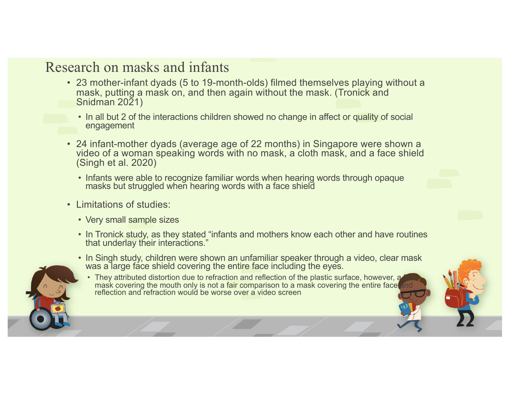### Research on masks and infants

- 23 mother-infant dyads (5 to 19-month-olds) filmed themselves playing without a mask, putting a mask on, and then again without the mask. (Tronick and Snidman 2021)
	- In all but 2 of the interactions children showed no change in affect or quality of social engagement
- 24 infant-mother dyads (average age of 22 months) in Singapore were shown a video of a woman speaking words with no mask, a cloth mask, and a face shield (Singh et al. 2020)
	- Infants were able to recognize familiar words when hearing words through opaque masks but struggled when hearing words with a face shield
- Limitations of studies:
	- Very small sample sizes
	- In Tronick study, as they stated "infants and mothers know each other and have routines that underlay their interactions."
	- In Singh study, children were shown an unfamiliar speaker through a video, clear mask was a large face shield covering the entire face including the eyes.
		- They attributed distortion due to refraction and reflection of the plastic surface, however, a mask covering the mouth only is not a fair comparison to a mask covering the entire face and reflection and refraction would be worse over a video screen

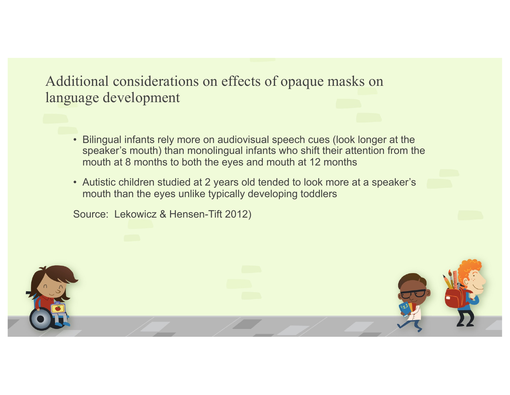#### Additional considerations on effects of opaque masks on language development

- Bilingual infants rely more on audiovisual speech cues (look longer at the speaker's mouth) than monolingual infants who shift their attention from the mouth at 8 months to both the eyes and mouth at 12 months
- Autistic children studied at 2 years old tended to look more at a speaker's mouth than the eyes unlike typically developing toddlers

Source: Lekowicz & Hensen-Tift 2012)

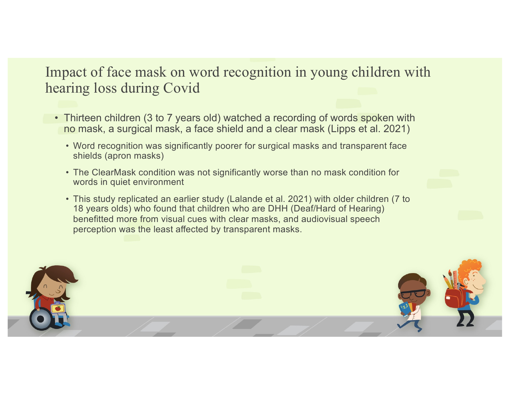## Impact of face mask on word recognition in young children with hearing loss during Covid

- Thirteen children (3 to 7 years old) watched a recording of words spoken with no mask, a surgical mask, a face shield and a clear mask (Lipps et al. 2021)
	- Word recognition was significantly poorer for surgical masks and transparent face shields (apron masks)
	- The ClearMask condition was not significantly worse than no mask condition for words in quiet environment
	- This study replicated an earlier study (Lalande et al. 2021) with older children (7 to 18 years olds) who found that children who are DHH (Deaf/Hard of Hearing) benefitted more from visual cues with clear masks, and audiovisual speech perception was the least affected by transparent masks.

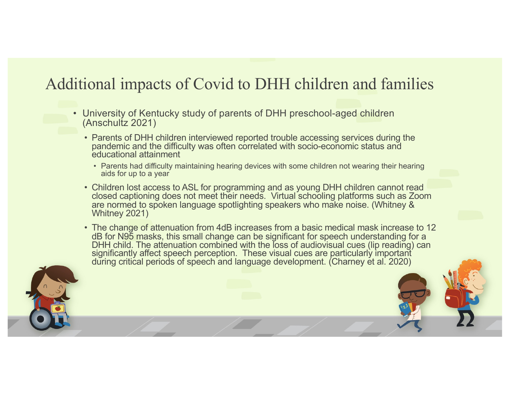# Additional impacts of Covid to DHH children and families

- University of Kentucky study of parents of DHH preschool-aged children (Anschultz 2021)
	- Parents of DHH children interviewed reported trouble accessing services during the pandemic and the difficulty was often correlated with socio-economic status and educational attainment
		- Parents had difficulty maintaining hearing devices with some children not wearing their hearing aids for up to a year
	- Children lost access to ASL for programming and as young DHH children cannot read closed captioning does not meet their needs. Virtual schooling platforms such as Zoom are normed to spoken language spotlighting speakers who make noise. (Whitney & Whitney 2021)
	- The change of attenuation from 4dB increases from a basic medical mask increase to 12 dB for N95 masks, this small change can be significant for speech understanding for a DHH child. The attenuation combined with the loss of audiovisual cues (lip reading) can significantly affect speech perception. These visual cues are particularly important during critical periods of speech and language development. (Charney et al. 2020)

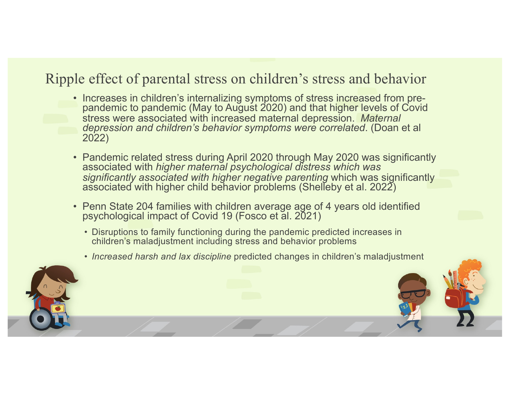## Ripple effect of parental stress on children's stress and behavior

- Increases in children's internalizing symptoms of stress increased from pre- pandemic to pandemic (May to August 2020) and that higher levels of Covid stress were associated with increased maternal depression. *Maternal depression and children's behavior symptoms were correlated*. (Doan et al 2022)
- Pandemic related stress during April 2020 through May 2020 was significantly associated with *higher maternal psychological distress which was significantly associated with higher negative parenting* which was significantly associated with higher child behavior problems (Shelleby et al. 2022)
- Penn State 204 families with children average age of 4 years old identified psychological impact of Covid 19 (Fosco et al. 2021)
	- Disruptions to family functioning during the pandemic predicted increases in children's maladjustment including stress and behavior problems
	- *Increased harsh and lax discipline* predicted changes in children's maladjustment

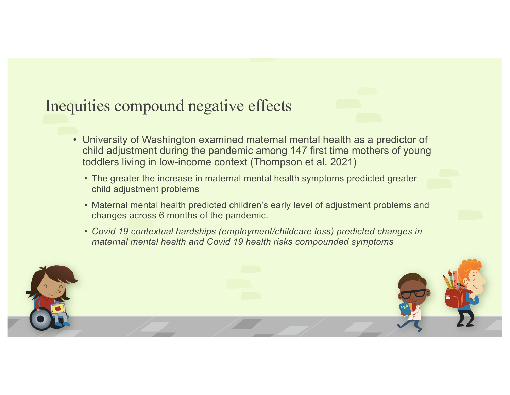# Inequities compound negative effects

- University of Washington examined maternal mental health as a predictor of child adjustment during the pandemic among 147 first time mothers of young toddlers living in low-income context (Thompson et al. 2021)
	- The greater the increase in maternal mental health symptoms predicted greater child adjustment problems
	- Maternal mental health predicted children's early level of adjustment problems and changes across 6 months of the pandemic.
	- *Covid 19 contextual hardships (employment/childcare loss) predicted changes in maternal mental health and Covid 19 health risks compounded symptoms*

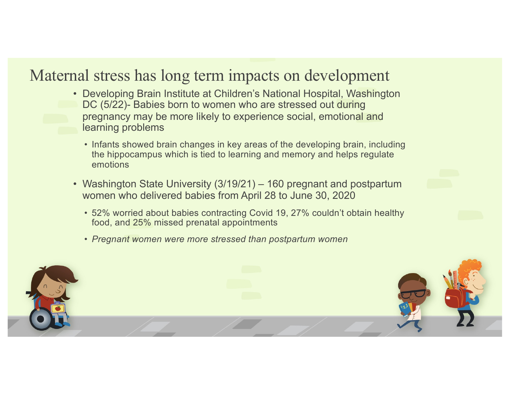## Maternal stress has long term impacts on development

- Developing Brain Institute at Children's National Hospital, Washington DC (5/22)- Babies born to women who are stressed out during pregnancy may be more likely to experience social, emotional and learning problems
	- Infants showed brain changes in key areas of the developing brain, including the hippocampus which is tied to learning and memory and helps regulate emotions
- Washington State University (3/19/21) 160 pregnant and postpartum women who delivered babies from April 28 to June 30, 2020
	- 52% worried about babies contracting Covid 19, 27% couldn't obtain healthy food, and 25% missed prenatal appointments
	- *Pregnant women were more stressed than postpartum women*

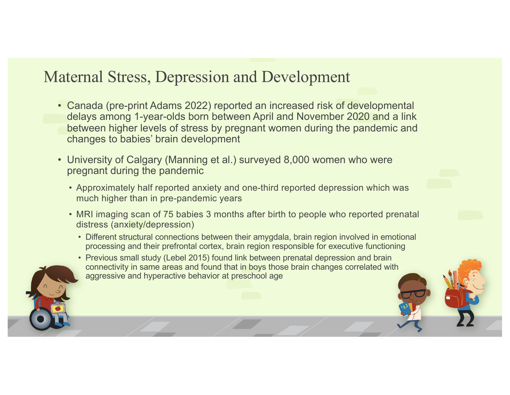## Maternal Stress, Depression and Development

- Canada (pre-print Adams 2022) reported an increased risk of developmental delays among 1-year-olds born between April and November 2020 and a link between higher levels of stress by pregnant women during the pandemic and changes to babies' brain development
- University of Calgary (Manning et al.) surveyed 8,000 women who were pregnant during the pandemic
	- Approximately half reported anxiety and one-third reported depression which was much higher than in pre-pandemic years
	- MRI imaging scan of 75 babies 3 months after birth to people who reported prenatal distress (anxiety/depression)
		- Different structural connections between their amygdala, brain region involved in emotional processing and their prefrontal cortex, brain region responsible for executive functioning
		- Previous small study (Lebel 2015) found link between prenatal depression and brain connectivity in same areas and found that in boys those brain changes correlated with aggressive and hyperactive behavior at preschool age

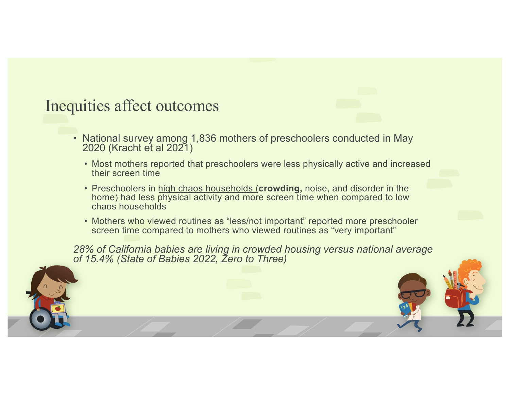## Inequities affect outcomes

- National survey among 1,836 mothers of preschoolers conducted in May 2020 (Kracht et al 2021)
	- Most mothers reported that preschoolers were less physically active and increased their screen time
	- Preschoolers in high chaos households (**crowding,** noise, and disorder in the home) had less physical activity and more screen time when compared to low chaos households
	- Mothers who viewed routines as "less/not important" reported more preschooler screen time compared to mothers who viewed routines as "very important"

*28% of California babies are living in crowded housing versus national average of 15.4% (State of Babies 2022, Zero to Three)*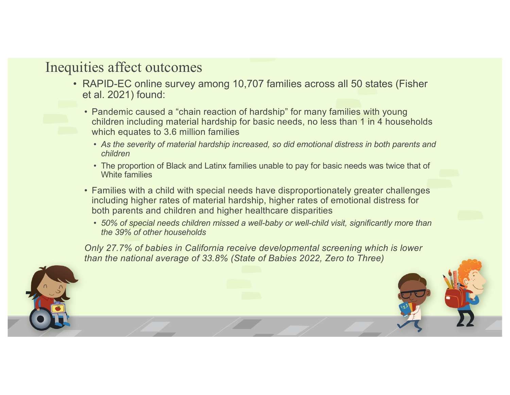## Inequities affect outcomes

- RAPID-EC online survey among 10,707 families across all 50 states (Fisher et al. 2021) found:
	- Pandemic caused a "chain reaction of hardship" for many families with young children including material hardship for basic needs, no less than 1 in 4 households which equates to 3.6 million families
		- *As the severity of material hardship increased, so did emotional distress in both parents and children*
		- The proportion of Black and Latinx families unable to pay for basic needs was twice that of White families
	- Families with a child with special needs have disproportionately greater challenges including higher rates of material hardship, higher rates of emotional distress for both parents and children and higher healthcare disparities
		- *50% of special needs children missed a well-baby or well-child visit, significantly more than the 39% of other households*

*Only 27.7% of babies in California receive developmental screening which is lower than the national average of 33.8% (State of Babies 2022, Zero to Three)*

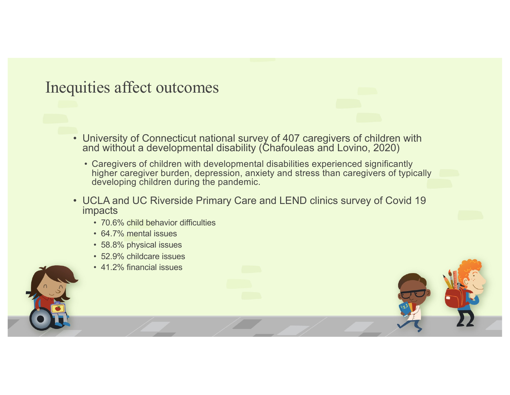## Inequities affect outcomes

- University of Connecticut national survey of 407 caregivers of children with and without a developmental disability (Chafouleas and Lovino, 2020)
	- Caregivers of children with developmental disabilities experienced significantly higher caregiver burden, depression, anxiety and stress than caregivers of typically developing children during the pandemic.
- UCLA and UC Riverside Primary Care and LEND clinics survey of Covid 19 impacts
	- 70.6% child behavior difficulties
	- 64.7% mental issues
	- 58.8% physical issues
	- 52.9% childcare issues
	- 41.2% financial issues

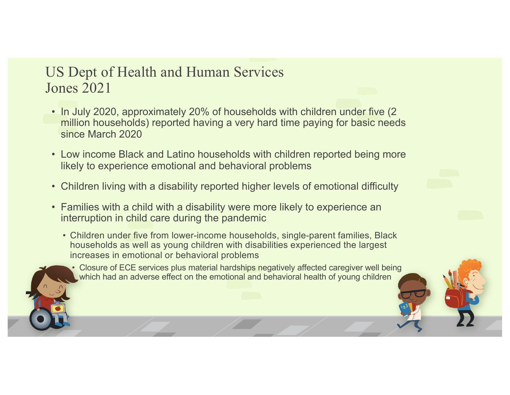## US Dept of Health and Human Services Jones 2021

- In July 2020, approximately 20% of households with children under five (2 million households) reported having a very hard time paying for basic needs since March 2020
- Low income Black and Latino households with children reported being more likely to experience emotional and behavioral problems
- Children living with a disability reported higher levels of emotional difficulty
- Families with a child with a disability were more likely to experience an interruption in child care during the pandemic
	- Children under five from lower-income households, single-parent families, Black households as well as young children with disabilities experienced the largest increases in emotional or behavioral problems

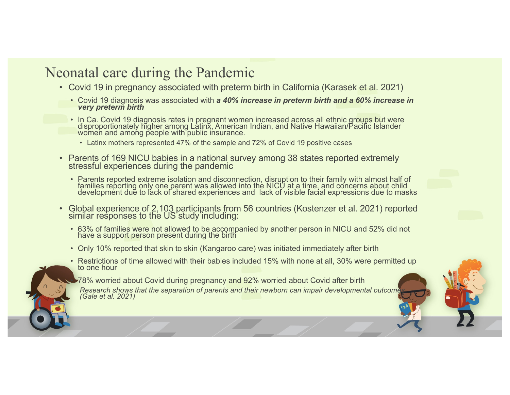### Neonatal care during the Pandemic

- Covid 19 in pregnancy associated with preterm birth in California (Karasek et al. 2021)
	- Covid 19 diagnosis was associated with *a 40% increase in preterm birth and a 60% increase in very preterm birth*
	- In Ca. Covid 19 diagnosis rates in pregnant women increased across all ethnic groups but were disproportionately higher among Latinx, American Indian, and Native Hawaiian/Pacific Islander women and among people with public insurance.
		- Latinx mothers represented 47% of the sample and 72% of Covid 19 positive cases
- Parents of 169 NICU babies in a national survey among 38 states reported extremely stressful experiences during the pandemic
	- Parents reported extreme isolation and disconnection, disruption to their family with almost half of families reporting only one parent was allowed into the NICU at a time, and concerns about child development due to lack of shared experiences and lack of visible facial expressions due to masks
- Global experience of 2,103 participants from 56 countries (Kostenzer et al. 2021) reported similar responses to the US study including:
	- 63% of families were not allowed to be accompanied by another person in NICU and 52% did not have a support person present during the birth
	- Only 10% reported that skin to skin (Kangaroo care) was initiated immediately after birth
	- Restrictions of time allowed with their babies included 15% with none at all, 30% were permitted up to one hour
		- 78% worried about Covid during pregnancy and 92% worried about Covid after birth

*Research shows that the separation of parents and their newborn can impair developmental outcomes (Gale et al. 2021)*